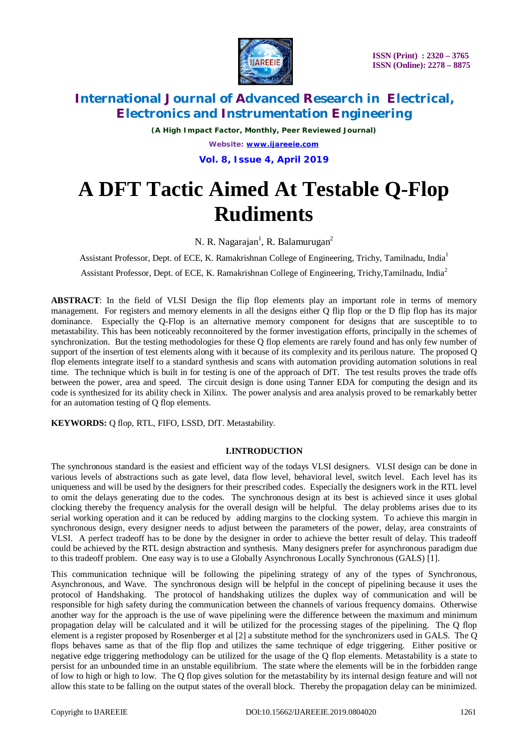

*(A High Impact Factor, Monthly, Peer Reviewed Journal) Website: [www.ijareeie.com](http://www.ijareeie.com)* **Vol. 8, Issue 4, April 2019**

# **A DFT Tactic Aimed At Testable Q-Flop Rudiments**

N. R. Nagarajan<sup>1</sup>, R. Balamurugan<sup>2</sup>

Assistant Professor, Dept. of ECE, K. Ramakrishnan College of Engineering, Trichy, Tamilnadu, India<sup>1</sup>

Assistant Professor, Dept. of ECE, K. Ramakrishnan College of Engineering, Trichy, Tamilnadu, India<sup>2</sup>

**ABSTRACT**: In the field of VLSI Design the flip flop elements play an important role in terms of memory management. For registers and memory elements in all the designs either Q flip flop or the D flip flop has its major dominance. Especially the Q-Flop is an alternative memory component for designs that are susceptible to to metastability. This has been noticeably reconnoitered by the former investigation efforts, principally in the schemes of synchronization. But the testing methodologies for these Q flop elements are rarely found and has only few number of support of the insertion of test elements along with it because of its complexity and its perilous nature. The proposed Q flop elements integrate itself to a standard synthesis and scans with automation providing automation solutions in real time. The technique which is built in for testing is one of the approach of DfT. The test results proves the trade offs between the power, area and speed. The circuit design is done using Tanner EDA for computing the design and its code is synthesized for its ability check in Xilinx. The power analysis and area analysis proved to be remarkably better for an automation testing of Q flop elements.

**KEYWORDS:** Q flop, RTL, FIFO, LSSD, DfT. Metastability.

#### **I.INTRODUCTION**

The synchronous standard is the easiest and efficient way of the todays VLSI designers. VLSI design can be done in various levels of abstractions such as gate level, data flow level, behavioral level, switch level. Each level has its uniqueness and will be used by the designers for their prescribed codes. Especially the designers work in the RTL level to omit the delays generating due to the codes. The synchronous design at its best is achieved since it uses global clocking thereby the frequency analysis for the overall design will be helpful. The delay problems arises due to its serial working operation and it can be reduced by adding margins to the clocking system. To achieve this margin in synchronous design, every designer needs to adjust between the parameters of the power, delay, area constraints of VLSI. A perfect tradeoff has to be done by the designer in order to achieve the better result of delay. This tradeoff could be achieved by the RTL design abstraction and synthesis. Many designers prefer for asynchronous paradigm due to this tradeoff problem. One easy way is to use a Globally Asynchronous Locally Synchronous (GALS) [1].

This communication technique will be following the pipelining strategy of any of the types of Synchronous, Asynchronous, and Wave. The synchronous design will be helpful in the concept of pipelining because it uses the protocol of Handshaking. The protocol of handshaking utilizes the duplex way of communication and will be responsible for high safety during the communication between the channels of various frequency domains. Otherwise another way for the approach is the use of wave pipelining were the difference between the maximum and minimum propagation delay will be calculated and it will be utilized for the processing stages of the pipelining. The Q flop element is a register proposed by Rosenberger et al [2] a substitute method for the synchronizers used in GALS. The Q flops behaves same as that of the flip flop and utilizes the same technique of edge triggering. Either positive or negative edge triggering methodology can be utilized for the usage of the Q flop elements. Metastability is a state to persist for an unbounded time in an unstable equilibrium. The state where the elements will be in the forbidden range of low to high or high to low. The Q flop gives solution for the metastability by its internal design feature and will not allow this state to be falling on the output states of the overall block. Thereby the propagation delay can be minimized.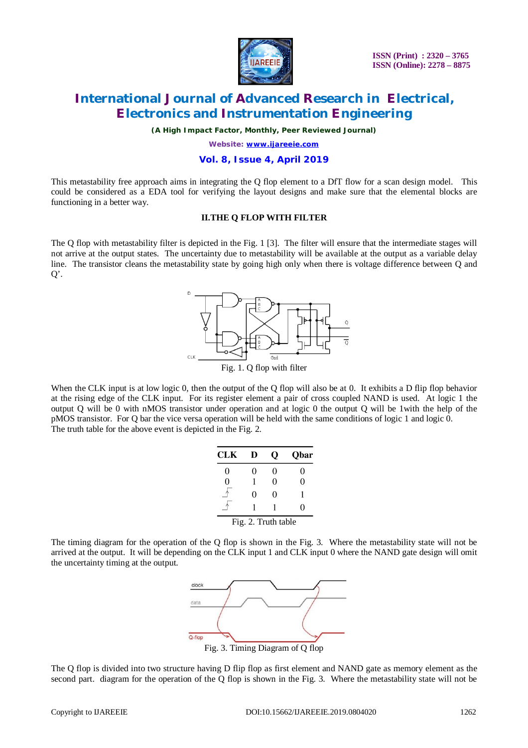

*(A High Impact Factor, Monthly, Peer Reviewed Journal)*

*Website: [www.ijareeie.com](http://www.ijareeie.com)*

#### **Vol. 8, Issue 4, April 2019**

This metastability free approach aims in integrating the Q flop element to a DfT flow for a scan design model. This could be considered as a EDA tool for verifying the layout designs and make sure that the elemental blocks are functioning in a better way.

#### **II.THE Q FLOP WITH FILTER**

The Q flop with metastability filter is depicted in the Fig. 1 [3]. The filter will ensure that the intermediate stages will not arrive at the output states. The uncertainty due to metastability will be available at the output as a variable delay line. The transistor cleans the metastability state by going high only when there is voltage difference between Q and  $Q'$ .



Fig. 1. Q flop with filter

When the CLK input is at low logic 0, then the output of the Q flop will also be at 0. It exhibits a D flip flop behavior at the rising edge of the CLK input. For its register element a pair of cross coupled NAND is used. At logic 1 the output Q will be 0 with nMOS transistor under operation and at logic 0 the output Q will be 1with the help of the pMOS transistor. For Q bar the vice versa operation will be held with the same conditions of logic 1 and logic 0. The truth table for the above event is depicted in the Fig. 2.

| CLK                 | D | О | Qbar   |
|---------------------|---|---|--------|
| 0                   | 0 | 0 | $_{0}$ |
| 0                   | 1 | 0 | 0      |
|                     | 0 | 0 | 1      |
|                     |   |   | 0      |
| Fig. 2. Truth table |   |   |        |

The timing diagram for the operation of the Q flop is shown in the Fig. 3. Where the metastability state will not be arrived at the output. It will be depending on the CLK input 1 and CLK input 0 where the NAND gate design will omit the uncertainty timing at the output.



The Q flop is divided into two structure having D flip flop as first element and NAND gate as memory element as the second part. diagram for the operation of the Q flop is shown in the Fig. 3. Where the metastability state will not be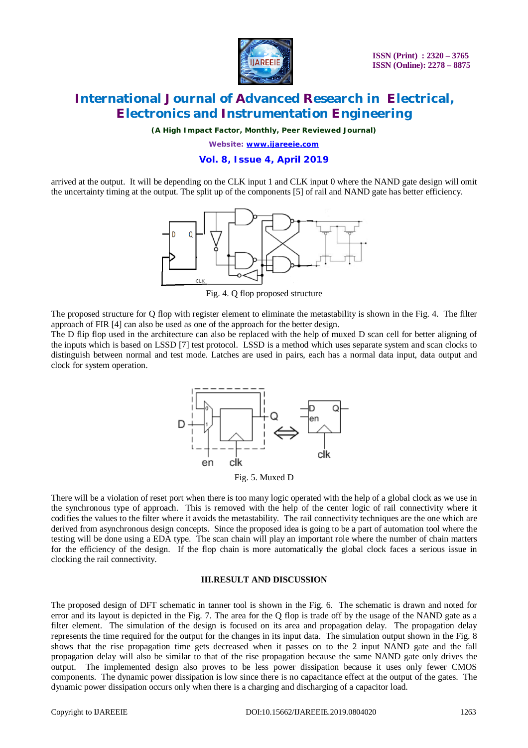

*(A High Impact Factor, Monthly, Peer Reviewed Journal)*

*Website: [www.ijareeie.com](http://www.ijareeie.com)*

#### **Vol. 8, Issue 4, April 2019**

arrived at the output. It will be depending on the CLK input 1 and CLK input 0 where the NAND gate design will omit the uncertainty timing at the output. The split up of the components [5] of rail and NAND gate has better efficiency.



Fig. 4. Q flop proposed structure

The proposed structure for Q flop with register element to eliminate the metastability is shown in the Fig. 4. The filter approach of FIR [4] can also be used as one of the approach for the better design.

The D flip flop used in the architecture can also be replaced with the help of muxed D scan cell for better aligning of the inputs which is based on LSSD [7] test protocol. LSSD is a method which uses separate system and scan clocks to distinguish between normal and test mode. Latches are used in pairs, each has a normal data input, data output and clock for system operation.



Fig. 5. Muxed D

There will be a violation of reset port when there is too many logic operated with the help of a global clock as we use in the synchronous type of approach. This is removed with the help of the center logic of rail connectivity where it codifies the values to the filter where it avoids the metastability. The rail connectivity techniques are the one which are derived from asynchronous design concepts. Since the proposed idea is going to be a part of automation tool where the testing will be done using a EDA type. The scan chain will play an important role where the number of chain matters for the efficiency of the design. If the flop chain is more automatically the global clock faces a serious issue in clocking the rail connectivity.

#### **III.RESULT AND DISCUSSION**

The proposed design of DFT schematic in tanner tool is shown in the Fig. 6. The schematic is drawn and noted for error and its layout is depicted in the Fig. 7. The area for the Q flop is trade off by the usage of the NAND gate as a filter element. The simulation of the design is focused on its area and propagation delay. The propagation delay represents the time required for the output for the changes in its input data. The simulation output shown in the Fig. 8 shows that the rise propagation time gets decreased when it passes on to the 2 input NAND gate and the fall propagation delay will also be similar to that of the rise propagation because the same NAND gate only drives the output. The implemented design also proves to be less power dissipation because it uses only fewer CMOS components. The dynamic power dissipation is low since there is no capacitance effect at the output of the gates. The dynamic power dissipation occurs only when there is a charging and discharging of a capacitor load.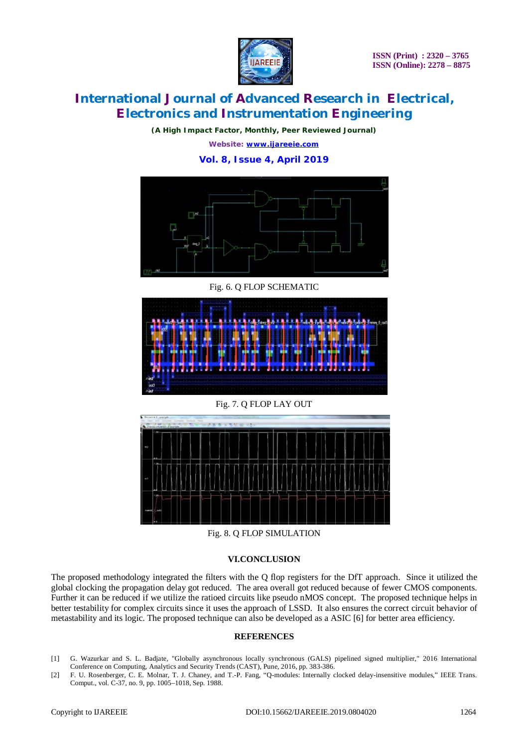

 **ISSN (Print) : 2320 – 3765 ISSN (Online): 2278 – 8875**

# **International Journal of Advanced Research in Electrical, Electronics and Instrumentation Engineering**

*(A High Impact Factor, Monthly, Peer Reviewed Journal) Website: [www.ijareeie.com](http://www.ijareeie.com)*

### **Vol. 8, Issue 4, April 2019**



Fig. 6. Q FLOP SCHEMATIC



Fig. 7. Q FLOP LAY OUT



Fig. 8. Q FLOP SIMULATION

#### **VI.CONCLUSION**

The proposed methodology integrated the filters with the Q flop registers for the DfT approach. Since it utilized the global clocking the propagation delay got reduced. The area overall got reduced because of fewer CMOS components. Further it can be reduced if we utilize the ratioed circuits like pseudo nMOS concept. The proposed technique helps in better testability for complex circuits since it uses the approach of LSSD. It also ensures the correct circuit behavior of metastability and its logic. The proposed technique can also be developed as a ASIC [6] for better area efficiency.

#### **REFERENCES**

- [1] G. Wazurkar and S. L. Badjate, "Globally asynchronous locally synchronous (GALS) pipelined signed multiplier," 2016 International Conference on Computing, Analytics and Security Trends (CAST), Pune, 2016, pp. 383-386.
- [2] F. U. Rosenberger, C. E. Molnar, T. J. Chaney, and T.-P. Fang, "Q-modules: Internally clocked delay-insensitive modules," IEEE Trans. Comput., vol. C-37, no. 9, pp. 1005–1018, Sep. 1988.